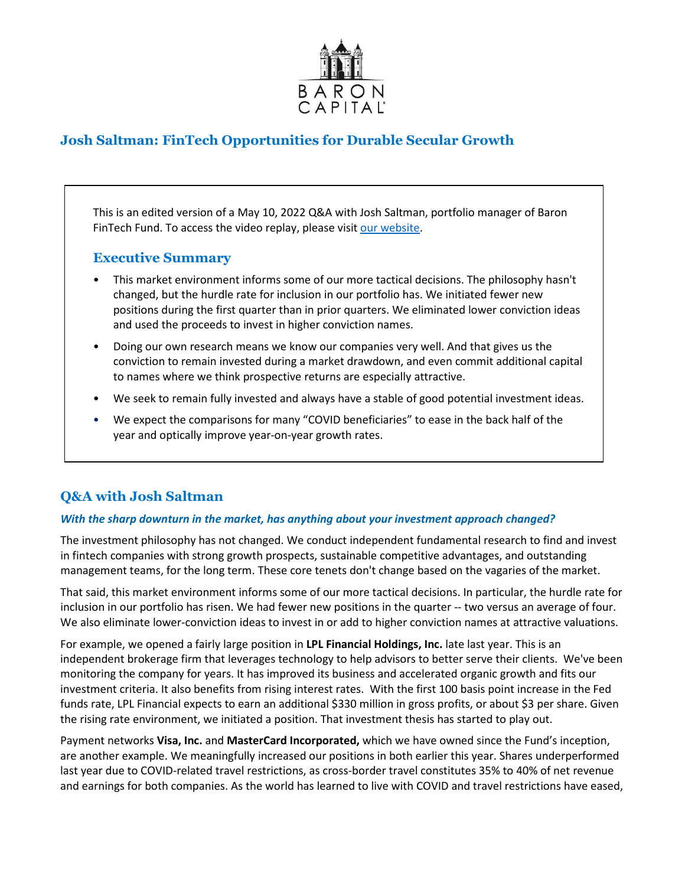

# **Josh Saltman: FinTech Opportunities for Durable Secular Growth**

This is an edited version of a May 10, 2022 Q&A with Josh Saltman, portfolio manager of Baron FinTech Fund. To access the video replay, please visit [our website.](https://www.baronfunds.com/insights/conference-calls)

## **Executive Summary**

- This market environment informs some of our more tactical decisions. The philosophy hasn't changed, but the hurdle rate for inclusion in our portfolio has. We initiated fewer new positions during the first quarter than in prior quarters. We eliminated lower conviction ideas and used the proceeds to invest in higher conviction names.
- Doing our own research means we know our companies very well. And that gives us the conviction to remain invested during a market drawdown, and even commit additional capital to names where we think prospective returns are especially attractive.
- We seek to remain fully invested and always have a stable of good potential investment ideas.
- We expect the comparisons for many "COVID beneficiaries" to ease in the back half of the year and optically improve year-on-year growth rates.

## **Q&A with Josh Saltman**

## *With the sharp downturn in the market, has anything about your investment approach changed?*

The investment philosophy has not changed. We conduct independent fundamental research to find and invest in fintech companies with strong growth prospects, sustainable competitive advantages, and outstanding management teams, for the long term. These core tenets don't change based on the vagaries of the market.

That said, this market environment informs some of our more tactical decisions. In particular, the hurdle rate for inclusion in our portfolio has risen. We had fewer new positions in the quarter -- two versus an average of four. We also eliminate lower-conviction ideas to invest in or add to higher conviction names at attractive valuations.

For example, we opened a fairly large position in **LPL Financial Holdings, Inc.** late last year. This is an independent brokerage firm that leverages technology to help advisors to better serve their clients. We've been monitoring the company for years. It has improved its business and accelerated organic growth and fits our investment criteria. It also benefits from rising interest rates. With the first 100 basis point increase in the Fed funds rate, LPL Financial expects to earn an additional \$330 million in gross profits, or about \$3 per share. Given the rising rate environment, we initiated a position. That investment thesis has started to play out.

Payment networks **Visa, Inc.** and **MasterCard Incorporated,** which we have owned since the Fund's inception, are another example. We meaningfully increased our positions in both earlier this year. Shares underperformed last year due to COVID-related travel restrictions, as cross-border travel constitutes 35% to 40% of net revenue and earnings for both companies. As the world has learned to live with COVID and travel restrictions have eased,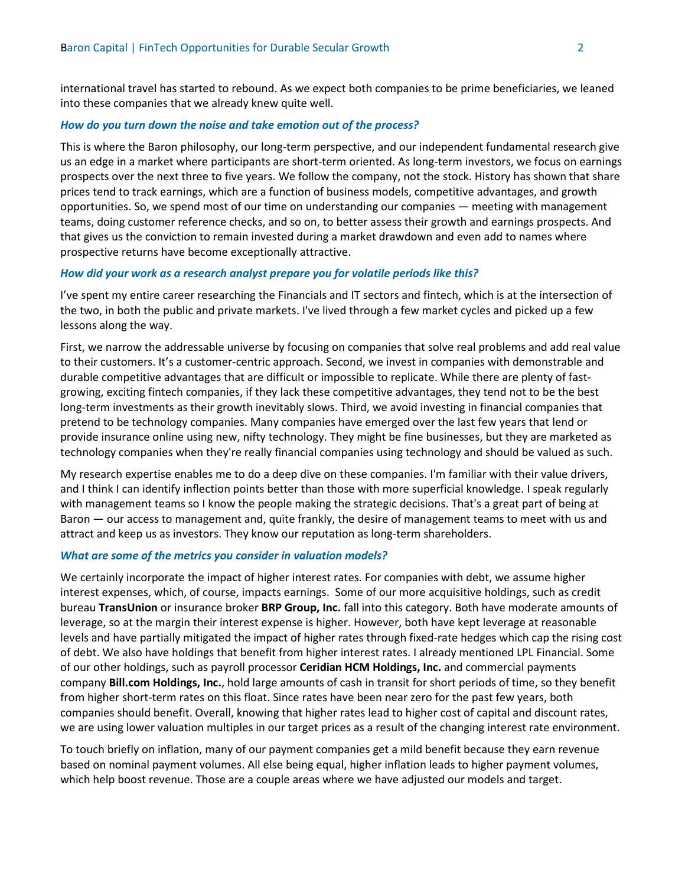international travel has started to rebound. As we expect both companies to be prime beneficiaries, we leaned into these companies that we already knew quite well.

#### *How do you turn down the noise and take emotion out of the process?*

This is where the Baron philosophy, our long-term perspective, and our independent fundamental research give us an edge in a market where participants are short-term oriented. As long-term investors, we focus on earnings prospects over the next three to five years. We follow the company, not the stock. History has shown that share prices tend to track earnings, which are a function of business models, competitive advantages, and growth opportunities. So, we spend most of our time on understanding our companies — meeting with management teams, doing customer reference checks, and so on, to better assess their growth and earnings prospects. And that gives us the conviction to remain invested during a market drawdown and even add to names where prospective returns have become exceptionally attractive.

#### *How did your work as a research analyst prepare you for volatile periods like this?*

I've spent my entire career researching the Financials and IT sectors and fintech, which is at the intersection of the two, in both the public and private markets. I've lived through a few market cycles and picked up a few lessons along the way.

First, we narrow the addressable universe by focusing on companies that solve real problems and add real value to their customers. It's a customer-centric approach. Second, we invest in companies with demonstrable and durable competitive advantages that are difficult or impossible to replicate. While there are plenty of fastgrowing, exciting fintech companies, if they lack these competitive advantages, they tend not to be the best long-term investments as their growth inevitably slows. Third, we avoid investing in financial companies that pretend to be technology companies. Many companies have emerged over the last few years that lend or provide insurance online using new, nifty technology. They might be fine businesses, but they are marketed as technology companies when they're really financial companies using technology and should be valued as such.

My research expertise enables me to do a deep dive on these companies. I'm familiar with their value drivers, and I think I can identify inflection points better than those with more superficial knowledge. I speak regularly with management teams so I know the people making the strategic decisions. That's a great part of being at Baron — our access to management and, quite frankly, the desire of management teams to meet with us and attract and keep us as investors. They know our reputation as long-term shareholders.

#### *What are some of the metrics you consider in valuation models?*

We certainly incorporate the impact of higher interest rates. For companies with debt, we assume higher interest expenses, which, of course, impacts earnings. Some of our more acquisitive holdings, such as credit bureau **TransUnion** or insurance broker **BRP Group, Inc.** fall into this category. Both have moderate amounts of leverage, so at the margin their interest expense is higher. However, both have kept leverage at reasonable levels and have partially mitigated the impact of higher rates through fixed-rate hedges which cap the rising cost of debt. We also have holdings that benefit from higher interest rates. I already mentioned LPL Financial. Some of our other holdings, such as payroll processor **Ceridian HCM Holdings, Inc.** and commercial payments company **Bill.com Holdings, Inc.**, hold large amounts of cash in transit for short periods of time, so they benefit from higher short-term rates on this float. Since rates have been near zero for the past few years, both companies should benefit. Overall, knowing that higher rates lead to higher cost of capital and discount rates, we are using lower valuation multiples in our target prices as a result of the changing interest rate environment.

To touch briefly on inflation, many of our payment companies get a mild benefit because they earn revenue based on nominal payment volumes. All else being equal, higher inflation leads to higher payment volumes, which help boost revenue. Those are a couple areas where we have adjusted our models and target.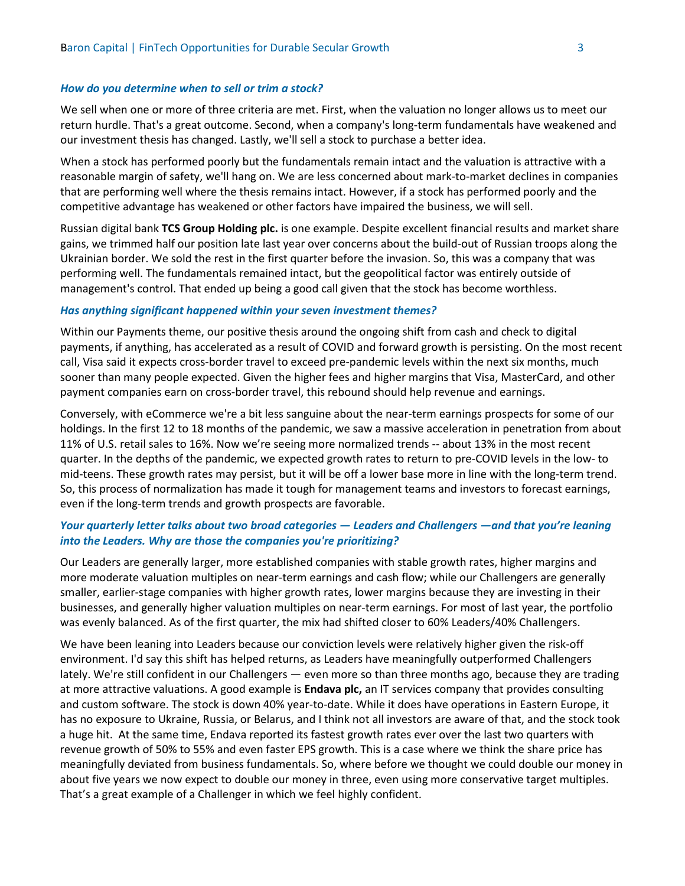#### *How do you determine when to sell or trim a stock?*

We sell when one or more of three criteria are met. First, when the valuation no longer allows us to meet our return hurdle. That's a great outcome. Second, when a company's long-term fundamentals have weakened and our investment thesis has changed. Lastly, we'll sell a stock to purchase a better idea.

When a stock has performed poorly but the fundamentals remain intact and the valuation is attractive with a reasonable margin of safety, we'll hang on. We are less concerned about mark-to-market declines in companies that are performing well where the thesis remains intact. However, if a stock has performed poorly and the competitive advantage has weakened or other factors have impaired the business, we will sell.

Russian digital bank **TCS Group Holding plc.** is one example. Despite excellent financial results and market share gains, we trimmed half our position late last year over concerns about the build-out of Russian troops along the Ukrainian border. We sold the rest in the first quarter before the invasion. So, this was a company that was performing well. The fundamentals remained intact, but the geopolitical factor was entirely outside of management's control. That ended up being a good call given that the stock has become worthless.

#### *Has anything significant happened within your seven investment themes?*

Within our Payments theme, our positive thesis around the ongoing shift from cash and check to digital payments, if anything, has accelerated as a result of COVID and forward growth is persisting. On the most recent call, Visa said it expects cross-border travel to exceed pre-pandemic levels within the next six months, much sooner than many people expected. Given the higher fees and higher margins that Visa, MasterCard, and other payment companies earn on cross-border travel, this rebound should help revenue and earnings.

Conversely, with eCommerce we're a bit less sanguine about the near-term earnings prospects for some of our holdings. In the first 12 to 18 months of the pandemic, we saw a massive acceleration in penetration from about 11% of U.S. retail sales to 16%. Now we're seeing more normalized trends -- about 13% in the most recent quarter. In the depths of the pandemic, we expected growth rates to return to pre-COVID levels in the low- to mid-teens. These growth rates may persist, but it will be off a lower base more in line with the long-term trend. So, this process of normalization has made it tough for management teams and investors to forecast earnings, even if the long-term trends and growth prospects are favorable.

## *Your quarterly letter talks about two broad categories — Leaders and Challengers —and that you're leaning into the Leaders. Why are those the companies you're prioritizing?*

Our Leaders are generally larger, more established companies with stable growth rates, higher margins and more moderate valuation multiples on near-term earnings and cash flow; while our Challengers are generally smaller, earlier-stage companies with higher growth rates, lower margins because they are investing in their businesses, and generally higher valuation multiples on near-term earnings. For most of last year, the portfolio was evenly balanced. As of the first quarter, the mix had shifted closer to 60% Leaders/40% Challengers.

We have been leaning into Leaders because our conviction levels were relatively higher given the risk-off environment. I'd say this shift has helped returns, as Leaders have meaningfully outperformed Challengers lately. We're still confident in our Challengers — even more so than three months ago, because they are trading at more attractive valuations. A good example is **Endava plc,** an IT services company that provides consulting and custom software. The stock is down 40% year-to-date. While it does have operations in Eastern Europe, it has no exposure to Ukraine, Russia, or Belarus, and I think not all investors are aware of that, and the stock took a huge hit. At the same time, Endava reported its fastest growth rates ever over the last two quarters with revenue growth of 50% to 55% and even faster EPS growth. This is a case where we think the share price has meaningfully deviated from business fundamentals. So, where before we thought we could double our money in about five years we now expect to double our money in three, even using more conservative target multiples. That's a great example of a Challenger in which we feel highly confident.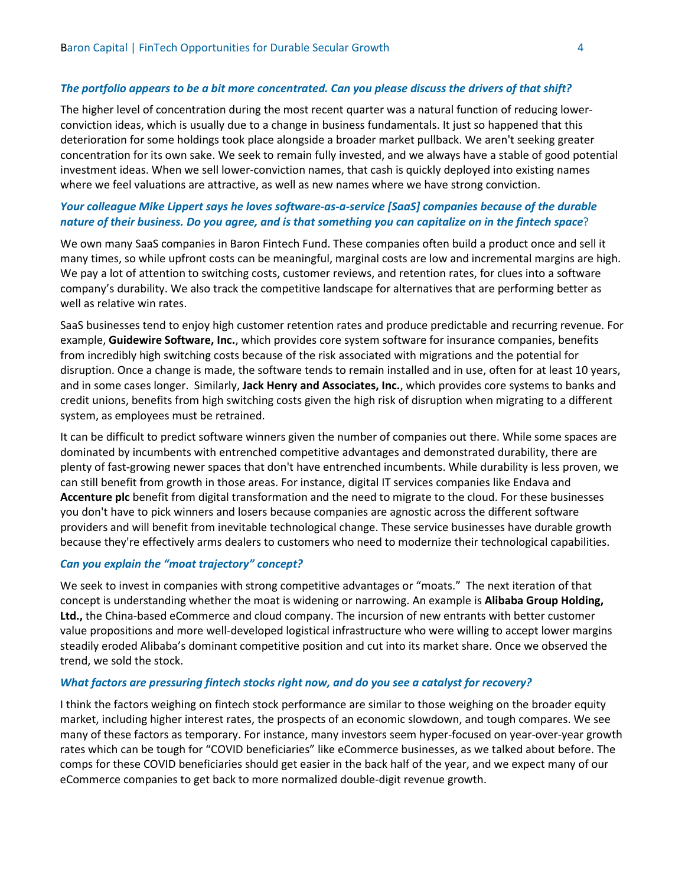#### *The portfolio appears to be a bit more concentrated. Can you please discuss the drivers of that shift?*

The higher level of concentration during the most recent quarter was a natural function of reducing lowerconviction ideas, which is usually due to a change in business fundamentals. It just so happened that this deterioration for some holdings took place alongside a broader market pullback. We aren't seeking greater concentration for its own sake. We seek to remain fully invested, and we always have a stable of good potential investment ideas. When we sell lower-conviction names, that cash is quickly deployed into existing names where we feel valuations are attractive, as well as new names where we have strong conviction.

## *Your colleague Mike Lippert says he loves software-as-a-service [SaaS] companies because of the durable nature of their business. Do you agree, and is that something you can capitalize on in the fintech space*?

We own many SaaS companies in Baron Fintech Fund. These companies often build a product once and sell it many times, so while upfront costs can be meaningful, marginal costs are low and incremental margins are high. We pay a lot of attention to switching costs, customer reviews, and retention rates, for clues into a software company's durability. We also track the competitive landscape for alternatives that are performing better as well as relative win rates.

SaaS businesses tend to enjoy high customer retention rates and produce predictable and recurring revenue. For example, **Guidewire Software, Inc.**, which provides core system software for insurance companies, benefits from incredibly high switching costs because of the risk associated with migrations and the potential for disruption. Once a change is made, the software tends to remain installed and in use, often for at least 10 years, and in some cases longer. Similarly, **Jack Henry and Associates, Inc.**, which provides core systems to banks and credit unions, benefits from high switching costs given the high risk of disruption when migrating to a different system, as employees must be retrained.

It can be difficult to predict software winners given the number of companies out there. While some spaces are dominated by incumbents with entrenched competitive advantages and demonstrated durability, there are plenty of fast-growing newer spaces that don't have entrenched incumbents. While durability is less proven, we can still benefit from growth in those areas. For instance, digital IT services companies like Endava and **Accenture plc** benefit from digital transformation and the need to migrate to the cloud. For these businesses you don't have to pick winners and losers because companies are agnostic across the different software providers and will benefit from inevitable technological change. These service businesses have durable growth because they're effectively arms dealers to customers who need to modernize their technological capabilities.

#### *Can you explain the "moat trajectory" concept?*

We seek to invest in companies with strong competitive advantages or "moats." The next iteration of that concept is understanding whether the moat is widening or narrowing. An example is **Alibaba Group Holding, Ltd.,** the China-based eCommerce and cloud company. The incursion of new entrants with better customer value propositions and more well-developed logistical infrastructure who were willing to accept lower margins steadily eroded Alibaba's dominant competitive position and cut into its market share. Once we observed the trend, we sold the stock.

#### *What factors are pressuring fintech stocks right now, and do you see a catalyst for recovery?*

I think the factors weighing on fintech stock performance are similar to those weighing on the broader equity market, including higher interest rates, the prospects of an economic slowdown, and tough compares. We see many of these factors as temporary. For instance, many investors seem hyper-focused on year-over-year growth rates which can be tough for "COVID beneficiaries" like eCommerce businesses, as we talked about before. The comps for these COVID beneficiaries should get easier in the back half of the year, and we expect many of our eCommerce companies to get back to more normalized double-digit revenue growth.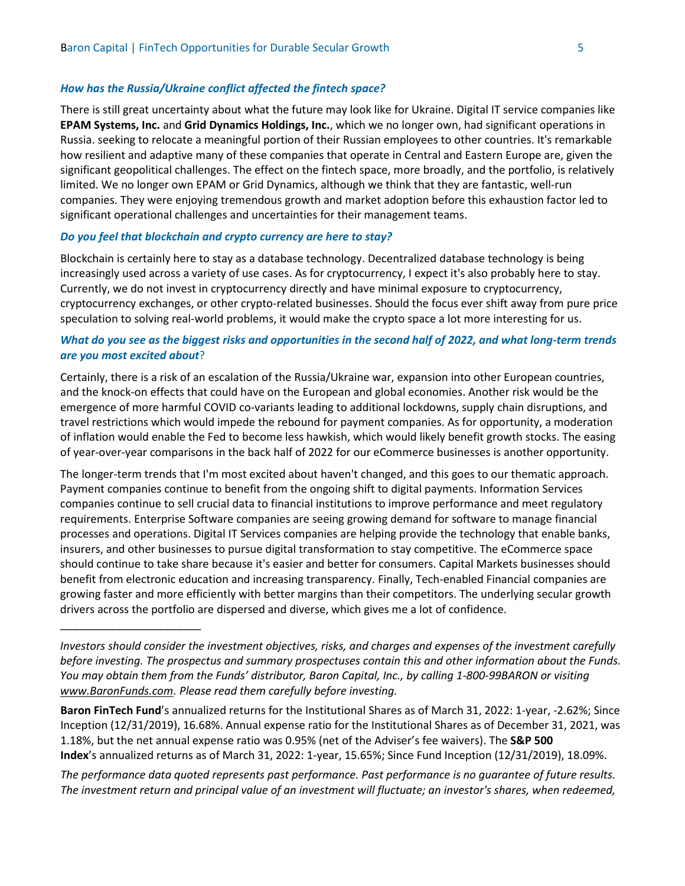## *How has the Russia/Ukraine conflict affected the fintech space?*

There is still great uncertainty about what the future may look like for Ukraine. Digital IT service companies like **EPAM Systems, Inc.** and **Grid Dynamics Holdings, Inc.**, which we no longer own, had significant operations in Russia. seeking to relocate a meaningful portion of their Russian employees to other countries. It's remarkable how resilient and adaptive many of these companies that operate in Central and Eastern Europe are, given the significant geopolitical challenges. The effect on the fintech space, more broadly, and the portfolio, is relatively limited. We no longer own EPAM or Grid Dynamics, although we think that they are fantastic, well-run companies. They were enjoying tremendous growth and market adoption before this exhaustion factor led to significant operational challenges and uncertainties for their management teams.

### *Do you feel that blockchain and crypto currency are here to stay?*

\_\_\_\_\_\_\_\_\_\_\_\_\_\_\_\_\_\_\_\_\_\_\_

Blockchain is certainly here to stay as a database technology. Decentralized database technology is being increasingly used across a variety of use cases. As for cryptocurrency, I expect it's also probably here to stay. Currently, we do not invest in cryptocurrency directly and have minimal exposure to cryptocurrency, cryptocurrency exchanges, or other crypto-related businesses. Should the focus ever shift away from pure price speculation to solving real-world problems, it would make the crypto space a lot more interesting for us.

## *What do you see as the biggest risks and opportunities in the second half of 2022, and what long-term trends are you most excited about*?

Certainly, there is a risk of an escalation of the Russia/Ukraine war, expansion into other European countries, and the knock-on effects that could have on the European and global economies. Another risk would be the emergence of more harmful COVID co-variants leading to additional lockdowns, supply chain disruptions, and travel restrictions which would impede the rebound for payment companies. As for opportunity, a moderation of inflation would enable the Fed to become less hawkish, which would likely benefit growth stocks. The easing of year-over-year comparisons in the back half of 2022 for our eCommerce businesses is another opportunity.

The longer-term trends that I'm most excited about haven't changed, and this goes to our thematic approach. Payment companies continue to benefit from the ongoing shift to digital payments. Information Services companies continue to sell crucial data to financial institutions to improve performance and meet regulatory requirements. Enterprise Software companies are seeing growing demand for software to manage financial processes and operations. Digital IT Services companies are helping provide the technology that enable banks, insurers, and other businesses to pursue digital transformation to stay competitive. The eCommerce space should continue to take share because it's easier and better for consumers. Capital Markets businesses should benefit from electronic education and increasing transparency. Finally, Tech-enabled Financial companies are growing faster and more efficiently with better margins than their competitors. The underlying secular growth drivers across the portfolio are dispersed and diverse, which gives me a lot of confidence.

**Baron FinTech Fund**'s annualized returns for the Institutional Shares as of March 31, 2022: 1-year, -2.62%; Since Inception (12/31/2019), 16.68%. Annual expense ratio for the Institutional Shares as of December 31, 2021, was 1.18%, but the net annual expense ratio was 0.95% (net of the Adviser's fee waivers). The **S&P 500 Index**'s annualized returns as of March 31, 2022: 1-year, 15.65%; Since Fund Inception (12/31/2019), 18.09%.

*The performance data quoted represents past performance. Past performance is no guarantee of future results. The investment return and principal value of an investment will fluctuate; an investor's shares, when redeemed,* 

*Investors should consider the investment objectives, risks, and charges and expenses of the investment carefully before investing. The prospectus and summary prospectuses contain this and other information about the Funds. You may obtain them from the Funds' distributor, Baron Capital, Inc., by calling 1-800-99BARON or visiting [www.BaronFunds.com.](http://www.baronfunds.com/) Please read them carefully before investing.*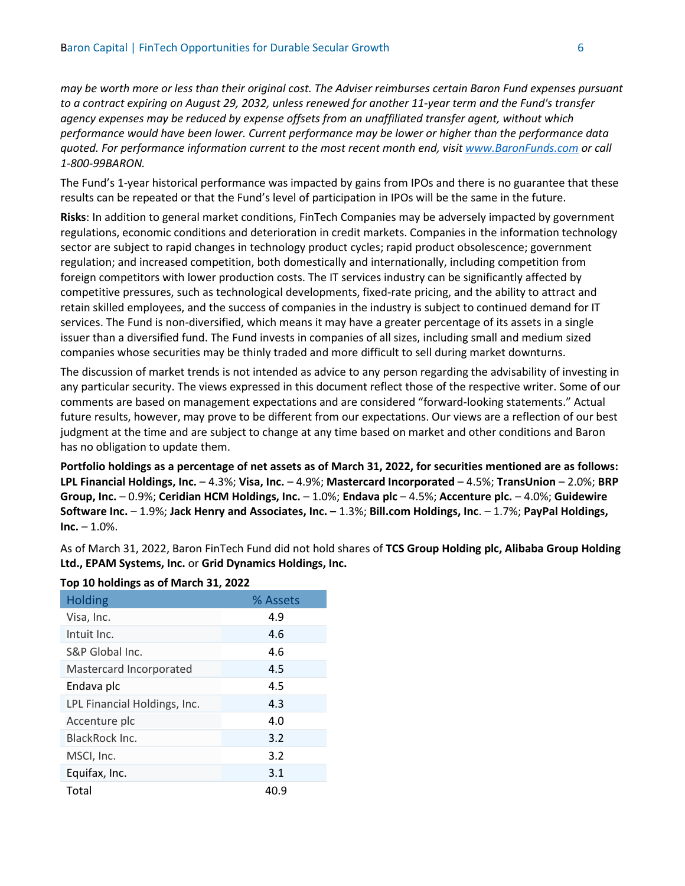*may be worth more or less than their original cost. The Adviser reimburses certain Baron Fund expenses pursuant to a contract expiring on August 29, 2032, unless renewed for another 11-year term and the Fund's transfer agency expenses may be reduced by expense offsets from an unaffiliated transfer agent, without which performance would have been lower. Current performance may be lower or higher than the performance data quoted. For performance information current to the most recent month end, visit [www.BaronFunds.com](http://www.baronfunds.com/) or call 1-800-99BARON.*

The Fund's 1-year historical performance was impacted by gains from IPOs and there is no guarantee that these results can be repeated or that the Fund's level of participation in IPOs will be the same in the future.

**Risks**: In addition to general market conditions, FinTech Companies may be adversely impacted by government regulations, economic conditions and deterioration in credit markets. Companies in the information technology sector are subject to rapid changes in technology product cycles; rapid product obsolescence; government regulation; and increased competition, both domestically and internationally, including competition from foreign competitors with lower production costs. The IT services industry can be significantly affected by competitive pressures, such as technological developments, fixed-rate pricing, and the ability to attract and retain skilled employees, and the success of companies in the industry is subject to continued demand for IT services. The Fund is non-diversified, which means it may have a greater percentage of its assets in a single issuer than a diversified fund. The Fund invests in companies of all sizes, including small and medium sized companies whose securities may be thinly traded and more difficult to sell during market downturns.

The discussion of market trends is not intended as advice to any person regarding the advisability of investing in any particular security. The views expressed in this document reflect those of the respective writer. Some of our comments are based on management expectations and are considered "forward-looking statements." Actual future results, however, may prove to be different from our expectations. Our views are a reflection of our best judgment at the time and are subject to change at any time based on market and other conditions and Baron has no obligation to update them.

**Portfolio holdings as a percentage of net assets as of March 31, 2022, for securities mentioned are as follows: LPL Financial Holdings, Inc.** – 4.3%; **Visa, Inc.** – 4.9%; **Mastercard Incorporated** – 4.5%; **TransUnion** – 2.0%; **BRP Group, Inc.** – 0.9%; **Ceridian HCM Holdings, Inc.** – 1.0%; **Endava plc** – 4.5%; **Accenture plc.** – 4.0%; **Guidewire Software Inc.** – 1.9%; **Jack Henry and Associates, Inc. –** 1.3%; **Bill.com Holdings, Inc**. – 1.7%; **PayPal Holdings,**   $Inc. - 1.0\%$ .

As of March 31, 2022, Baron FinTech Fund did not hold shares of **TCS Group Holding plc, Alibaba Group Holding Ltd., EPAM Systems, Inc.** or **Grid Dynamics Holdings, Inc.**

| 10p 10 1101011150 00 01 11101 011 017 2022 |          |
|--------------------------------------------|----------|
| <b>Holding</b>                             | % Assets |
| Visa, Inc.                                 | 4.9      |
| Intuit Inc.                                | 4.6      |
| S&P Global Inc.                            | 4.6      |
| Mastercard Incorporated                    | 4.5      |
| Endava plc                                 | 4.5      |
| LPL Financial Holdings, Inc.               | 4.3      |
| Accenture plc                              | 4.0      |
| BlackRock Inc.                             | 3.2      |
| MSCI, Inc.                                 | 3.2      |
| Equifax, Inc.                              | 3.1      |
| Total                                      | 40.9     |

## **Top 10 holdings as of March 31, 2022**